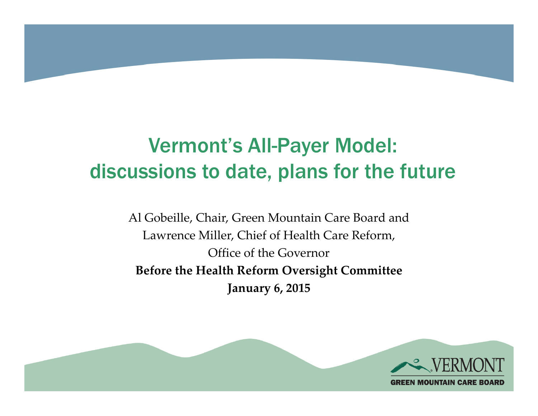

# Vermont's All-Payer Model: discussions to date, plans for the future

Al Gobeille, Chair, Green Mountain Care Board and Lawrence Miller, Chief of Health Care Reform, Office of the Governor **Before the Health Reform Oversight Committee January 6, 2015**

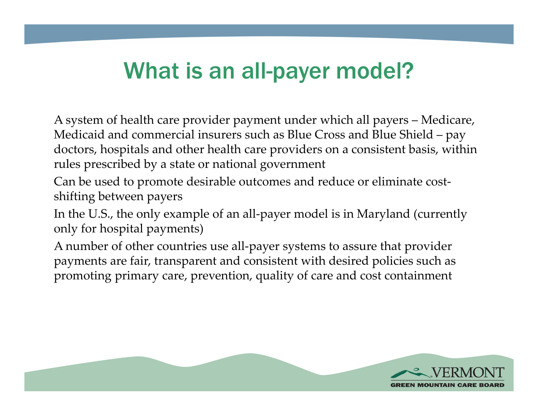# What is an all-payer model?

A system of health care provider payment under which all payers – Medicare, Medicaid and commercial insurers such as Blue Cross and Blue Shield – pay doctors, hospitals and other health care providers on a consistent basis, within rules prescribed by a state or national government

Can be used to promote desirable outcomes and reduce or eliminate costshifting between payers

In the U.S., the only example of an all-payer model is in Maryland (currently only for hospital payments)

A number of other countries use all-payer systems to assure that provider payments are fair, transparent and consistent with desired policies such as promoting primary care, prevention, quality of care and cost containment

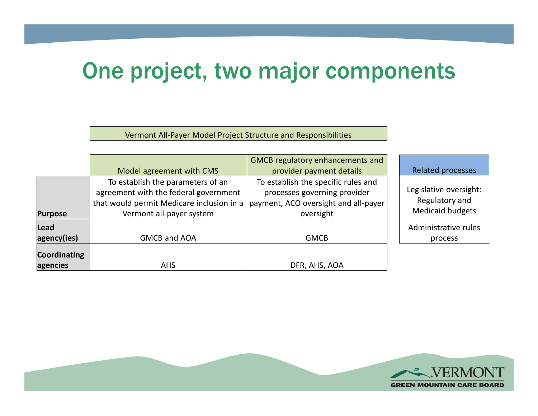## One project, two major components

Vermont All-Payer Model Project Structure and Responsibilities

|                     |                                           | <b>GMCB regulatory enhancements and</b> |                          |
|---------------------|-------------------------------------------|-----------------------------------------|--------------------------|
|                     | Model agreement with CMS                  | provider payment details                | <b>Related processes</b> |
|                     | To establish the parameters of an         | To establish the specific rules and     |                          |
|                     | agreement with the federal government     | processes governing provider            | Legislative oversight:   |
|                     | that would permit Medicare inclusion in a | payment, ACO oversight and all-payer    | Regulatory and           |
| <b>Purpose</b>      | Vermont all-payer system                  | oversight                               | <b>Medicaid budgets</b>  |
| Lead                |                                           |                                         | Administrative rules     |
| agency(ies)         | GMCB and AOA                              | <b>GMCB</b>                             | process                  |
| <b>Coordinating</b> |                                           |                                         |                          |
| agencies            | <b>AHS</b>                                | DFR, AHS, AOA                           |                          |

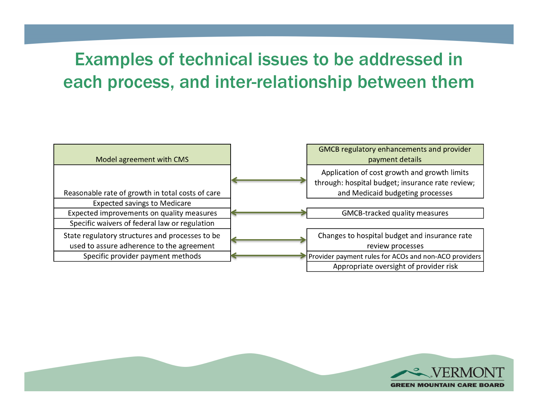#### Examples of technical issues to be addressed in each process, and inter-relationship between them

| Model agreement with CMS                         | GMCB regulatory enhancements and provider<br>payment details                                     |
|--------------------------------------------------|--------------------------------------------------------------------------------------------------|
|                                                  | Application of cost growth and growth limits<br>through: hospital budget; insurance rate review; |
| Reasonable rate of growth in total costs of care | and Medicaid budgeting processes                                                                 |
| <b>Expected savings to Medicare</b>              |                                                                                                  |
| Expected improvements on quality measures        | <b>GMCB-tracked quality measures</b>                                                             |
| Specific waivers of federal law or regulation    |                                                                                                  |
| State regulatory structures and processes to be  | Changes to hospital budget and insurance rate                                                    |
| used to assure adherence to the agreement        | review processes                                                                                 |
| Specific provider payment methods                | Provider payment rules for ACOs and non-ACO providers                                            |
|                                                  | Appropriate oversight of provider risk                                                           |